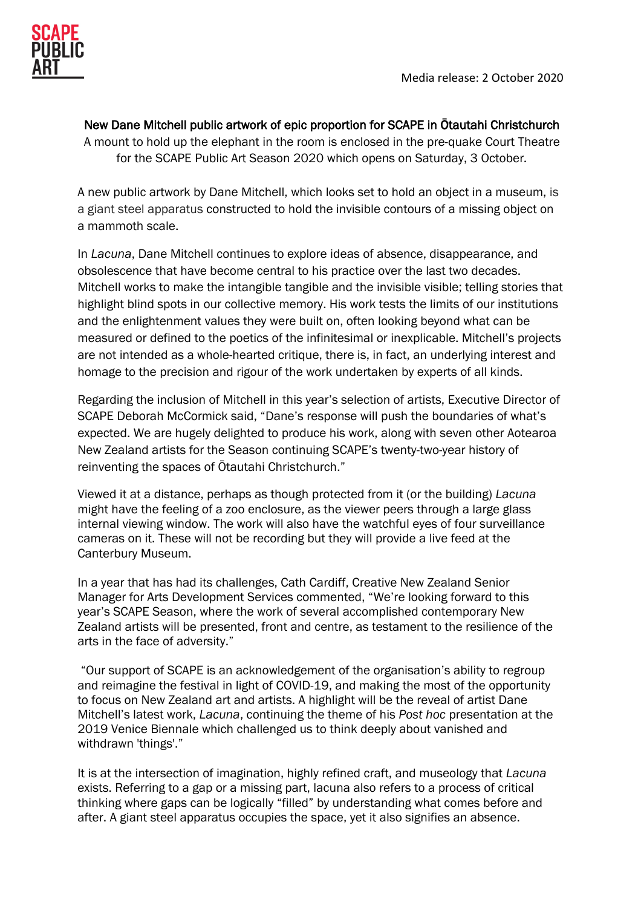

New Dane Mitchell public artwork of epic proportion for SCAPE in Ōtautahi Christchurch

A mount to hold up the elephant in the room is enclosed in the pre-quake Court Theatre for the SCAPE Public Art Season 2020 which opens on Saturday, 3 October*.*

A new public artwork by Dane Mitchell, which looks set to hold an object in a museum, is a giant steel apparatus constructed to hold the invisible contours of a missing object on a mammoth scale.

In *Lacuna*, Dane Mitchell continues to explore ideas of absence, disappearance, and obsolescence that have become central to his practice over the last two decades. Mitchell works to make the intangible tangible and the invisible visible; telling stories that highlight blind spots in our collective memory. His work tests the limits of our institutions and the enlightenment values they were built on, often looking beyond what can be measured or defined to the poetics of the infinitesimal or inexplicable. Mitchell's projects are not intended as a whole-hearted critique, there is, in fact, an underlying interest and homage to the precision and rigour of the work undertaken by experts of all kinds.

Regarding the inclusion of Mitchell in this year's selection of artists, Executive Director of SCAPE Deborah McCormick said, "Dane's response will push the boundaries of what's expected. We are hugely delighted to produce his work, along with seven other Aotearoa New Zealand artists for the Season continuing SCAPE's twenty-two-year history of reinventing the spaces of Ōtautahi Christchurch."

Viewed it at a distance, perhaps as though protected from it (or the building) *Lacuna* might have the feeling of a zoo enclosure, as the viewer peers through a large glass internal viewing window. The work will also have the watchful eyes of four surveillance cameras on it. These will not be recording but they will provide a live feed at the Canterbury Museum.

In a year that has had its challenges, Cath Cardiff, Creative New Zealand Senior Manager for Arts Development Services commented, "We're looking forward to this year's SCAPE Season, where the work of several accomplished contemporary New Zealand artists will be presented, front and centre, as testament to the resilience of the arts in the face of adversity."

"Our support of SCAPE is an acknowledgement of the organisation's ability to regroup and reimagine the festival in light of COVID-19, and making the most of the opportunity to focus on New Zealand art and artists. A highlight will be the reveal of artist Dane Mitchell's latest work, *Lacuna*, continuing the theme of his *Post hoc* presentation at the 2019 Venice Biennale which challenged us to think deeply about vanished and withdrawn 'things'."

It is at the intersection of imagination, highly refined craft, and museology that *Lacuna* exists. Referring to a gap or a missing part, lacuna also refers to a process of critical thinking where gaps can be logically "filled" by understanding what comes before and after. A giant steel apparatus occupies the space, yet it also signifies an absence.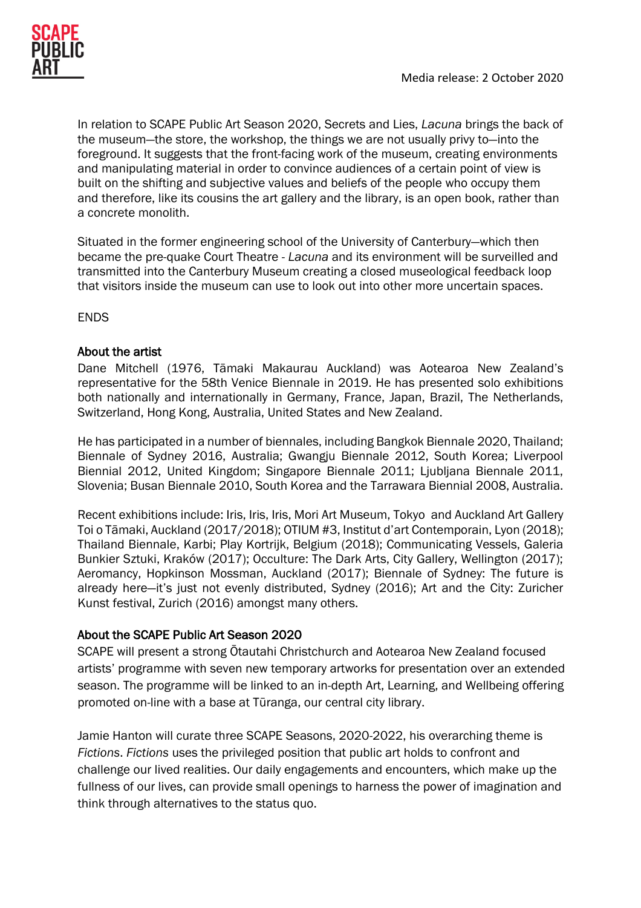In relation to SCAPE Public Art Season 2020, Secrets and Lies, *Lacuna* brings the back of the museum—the store, the workshop, the things we are not usually privy to—into the foreground. It suggests that the front-facing work of the museum, creating environments and manipulating material in order to convince audiences of a certain point of view is built on the shifting and subjective values and beliefs of the people who occupy them and therefore, like its cousins the art gallery and the library, is an open book, rather than a concrete monolith.

Situated in the former engineering school of the University of Canterbury—which then became the pre-quake Court Theatre - *Lacuna* and its environment will be surveilled and transmitted into the Canterbury Museum creating a closed museological feedback loop that visitors inside the museum can use to look out into other more uncertain spaces.

ENDS

# About the artist

Dane Mitchell (1976, Tāmaki Makaurau Auckland) was Aotearoa New Zealand's representative for the 58th Venice Biennale in 2019. He has presented solo exhibitions both nationally and internationally in Germany, France, Japan, Brazil, The Netherlands, Switzerland, Hong Kong, Australia, United States and New Zealand.

He has participated in a number of biennales, including Bangkok Biennale 2020, Thailand; Biennale of Sydney 2016, Australia; Gwangju Biennale 2012, South Korea; Liverpool Biennial 2012, United Kingdom; Singapore Biennale 2011; Ljubljana Biennale 2011, Slovenia; Busan Biennale 2010, South Korea and the Tarrawara Biennial 2008, Australia.

Recent exhibitions include: Iris, Iris, Iris, Mori Art Museum, Tokyo and Auckland Art Gallery Toi o Tāmaki, Auckland (2017/2018); OTIUM #3, Institut d'art Contemporain, Lyon (2018); Thailand Biennale, Karbi; Play Kortrijk, Belgium (2018); Communicating Vessels, Galeria Bunkier Sztuki, Kraków (2017); Occulture: The Dark Arts, City Gallery, Wellington (2017); Aeromancy, Hopkinson Mossman, Auckland (2017); Biennale of Sydney: The future is already here—it's just not evenly distributed, Sydney (2016); Art and the City: Zuricher Kunst festival, Zurich (2016) amongst many others.

# About the SCAPE Public Art Season 2020

SCAPE will present a strong Ōtautahi Christchurch and Aotearoa New Zealand focused artists' programme with seven new temporary artworks for presentation over an extended season. The programme will be linked to an in-depth Art, Learning, and Wellbeing offering promoted on-line with a base at Tūranga, our central city library.

Jamie Hanton will curate three SCAPE Seasons, 2020-2022, his overarching theme is *Fictions*. *Fictions* uses the privileged position that public art holds to confront and challenge our lived realities. Our daily engagements and encounters, which make up the fullness of our lives, can provide small openings to harness the power of imagination and think through alternatives to the status quo.